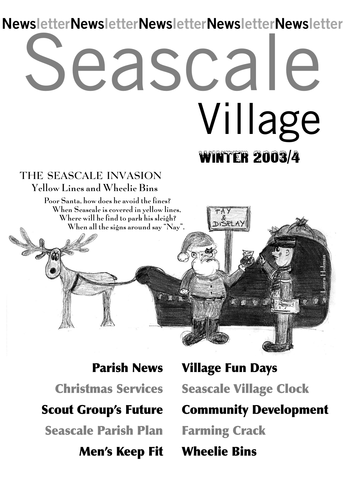# eascale **WINTER 2003/4** Village **NewsletterNewsletterNewsletterNewsletterNewsletter**

#### **THE SEASCALE INVASION Yellow Lines and Wheelie Bins**

Poor Santa, how does he avoid the fines? When Seascale is covered in yellow lines, Where will he find to park his sleigh? When all the signs around say "Nay".

**Parish News Seascale Parish Plan Christmas Services Men's Keep Fit**

**Scout Group's Future Community Development Seascale Village Clock Wheelie Bins Village Fun Days Farming Crack**

Laura Holman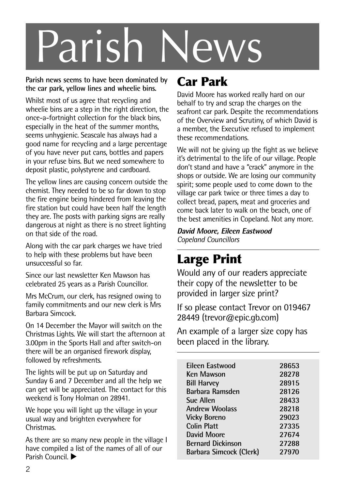# Parish News

#### **Parish news seems to have been dominated by the car park, yellow lines and wheelie bins.**

Whilst most of us agree that recycling and wheelie bins are a step in the right direction, the once-a-fortnight collection for the black bins, especially in the heat of the summer months, seems unhygienic. Seascale has always had a good name for recycling and a large percentage of you have never put cans, bottles and papers in your refuse bins. But we need somewhere to deposit plastic, polystyrene and cardboard.

The yellow lines are causing concern outside the chemist. They needed to be so far down to stop the fire engine being hindered from leaving the fire station but could have been half the length they are. The posts with parking signs are really dangerous at night as there is no street lighting on that side of the road.

Along with the car park charges we have tried to help with these problems but have been unsuccessful so far.

Since our last newsletter Ken Mawson has celebrated 25 years as a Parish Councillor.

Mrs McCrum, our clerk, has resigned owing to family commitments and our new clerk is Mrs Barbara Simcock.

On 14 December the Mayor will switch on the Christmas Lights. We will start the afternoon at 3.00pm in the Sports Hall and after switch-on there will be an organised firework display, followed by refreshments.

The lights will be put up on Saturday and Sunday 6 and 7 December and all the help we can get will be appreciated. The contact for this weekend is Tony Holman on 28941.

We hope you will light up the village in your usual way and brighten everywhere for **Christmas** 

As there are so many new people in the village I have compiled a list of the names of all of our Parish Council  $\blacktriangleright$ 

### **Car Park**

David Moore has worked really hard on our behalf to try and scrap the charges on the seafront car park. Despite the recommendations of the Overview and Scrutiny, of which David is a member, the Executive refused to implement these recommendations.

We will not be giving up the fight as we believe it's detrimental to the life of our village. People don't stand and have a "crack" anymore in the shops or outside. We are losing our community spirit; some people used to come down to the village car park twice or three times a day to collect bread, papers, meat and groceries and come back later to walk on the beach, one of the best amenities in Copeland. Not any more.

**David Moore, Eileen Eastwood** *Copeland Councillors*

### **Large Print**

Would any of our readers appreciate their copy of the newsletter to be provided in larger size print?

If so please contact Trevor on 019467 28449 (trevor@epic.gb.com)

An example of a larger size copy has been placed in the library.

| <b>Fileen Fastwood</b>   | 28653 |
|--------------------------|-------|
| Ken Mawson               | 28278 |
| <b>Bill Harvey</b>       | 28915 |
| Barbara Ramsden          | 28126 |
| <b>Sue Allen</b>         | 28433 |
| <b>Andrew Woolass</b>    | 28218 |
| <b>Vicky Boreno</b>      | 29023 |
| Colin Platt              | 27335 |
| David Moore              | 27674 |
| <b>Bernard Dickinson</b> | 27288 |
| Barbara Simcock (Clerk)  | 27970 |
|                          |       |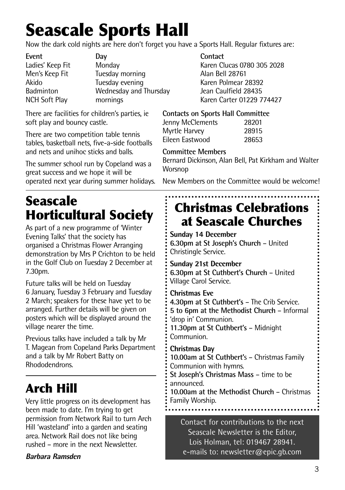# **Seascale Sports Hall**

Now the dark cold nights are here don't forget you have a Sports Hall. Regular fixtures are:

| Event                | Dav                    | Contact  |
|----------------------|------------------------|----------|
| Ladies' Keep Fit     | Monday                 | Karen C  |
| Men's Keep Fit       | Tuesday morning        | Alan Bel |
| Akido                | Tuesday evening        | Karen Po |
| <b>Badminton</b>     | Wednesday and Thursday | Jean Ca  |
| <b>NCH Soft Play</b> | mornings               | Karen C  |

There are facilities for children's parties, ie soft play and bouncy castle.

There are two competition table tennis tables, basketball nets, five-a-side footballs and nets and unihoc sticks and balls.

The summer school run by Copeland was a great success and we hope it will be operated next year during summer holidays.

### **Seascale Horticultural Society**

As part of a new programme of 'Winter Evening Talks' that the society has organised a Christmas Flower Arranging demonstration by Mrs P Crichton to be held in the Golf Club on Tuesday 2 December at 7.30pm.

Future talks will be held on Tuesday 6 January, Tuesday 3 February and Tuesday 2 March; speakers for these have yet to be arranged. Further details will be given on posters which will be displayed around the village nearer the time.

Previous talks have included a talk by Mr T. Magean from Copeland Parks Department and a talk by Mr Robert Batty on Rhododendrons.

### **Arch Hill**

Very little progress on its development has been made to date. I'm trying to get permission from Network Rail to turn Arch Hill 'wasteland' into a garden and seating area. Network Rail does not like being rushed – more in the next Newsletter.

#### **Barbara Ramsden**

Karen Clucas 0780 305 2028 Alan Bell 28761 Karen Polmear 28392 Badminton Wednesday and Thursday Jean Caulfield 28435 Karen Carter 01229 774427

#### **Contacts on Sports Hall Committee**

| Jenny McClements | 28201 |
|------------------|-------|
| Myrtle Harvey    | 28915 |
| Eileen Eastwood  | 28653 |

#### **Committee Members**

Bernard Dickinson, Alan Bell, Pat Kirkham and Walter Worsnop

New Members on the Committee would be welcome!

### **Christmas Celebrations at Seascale Churches**

**Sunday 14 December**

**6.30pm at St Joseph's Church** – United Christingle Service.

#### **Sunday 21st December**

**6.30pm at St Cuthbert's Church** – United Village Carol Service.

**Christmas Eve 4.30pm at St Cuthbert's** – The Crib Service. **5 to 6pm at the Methodist Church** – Informal 'drop in' Communion. **11.30pm at St Cuthbert's** – Midnight

Communion.

**Christmas Day 10.00am at St Cuthbert'**s – Christmas Family Communion with hymns. **St Joseph's Christmas Mass** – time to be announced. **10.00am at the Methodist Church** – Christmas

Family Worship.

Contact for contributions to the next Seascale Newsletter is the Editor, Lois Holman, tel: 019467 28941. e-mails to: newsletter@epic.gb.com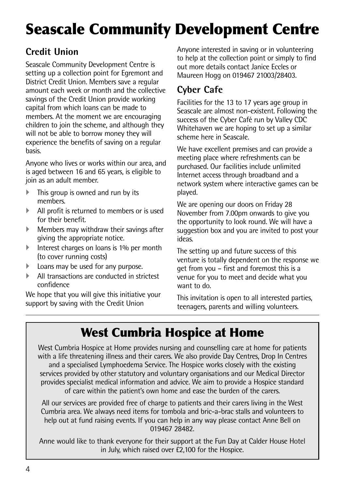## **Seascale Community Development Centre**

#### **Credit Union**

Seascale Community Development Centre is setting up a collection point for Egremont and District Credit Union. Members save a regular amount each week or month and the collective savings of the Credit Union provide working capital from which loans can be made to members. At the moment we are encouraging children to join the scheme, and although they will not be able to borrow money they will experience the benefits of saving on a regular basis.

Anyone who lives or works within our area, and is aged between 16 and 65 years, is eligible to join as an adult member.

- This group is owned and run by its members.
- All profit is returned to members or is used for their benefit.
- $\blacktriangleright$  Members may withdraw their savings after giving the appropriate notice.
- Interest charges on loans is 1% per month (to cover running costs)
- } Loans may be used for any purpose.
- } All transactions are conducted in strictest confidence

We hope that you will give this initiative your support by saving with the Credit Union

Anyone interested in saving or in volunteering to help at the collection point or simply to find out more details contact Janice Eccles or Maureen Hogg on 019467 21003/28403.

#### **Cyber Cafe**

Facilities for the 13 to 17 years age group in Seascale are almost non-existent. Following the success of the Cyber Café run by Valley CDC Whitehaven we are hoping to set up a similar scheme here in Seascale.

We have excellent premises and can provide a meeting place where refreshments can be purchased. Our facilities include unlimited Internet access through broadband and a network system where interactive games can be played.

We are opening our doors on Friday 28 November from 7.00pm onwards to give you the opportunity to look round. We will have a suggestion box and you are invited to post your ideas.

The setting up and future success of this venture is totally dependent on the response we get from you – first and foremost this is a venue for you to meet and decide what you want to do.

This invitation is open to all interested parties, teenagers, parents and willing volunteers.

### **West Cumbria Hospice at Home**

West Cumbria Hospice at Home provides nursing and counselling care at home for patients with a life threatening illness and their carers. We also provide Day Centres, Drop In Centres and a specialised Lymphoedema Service. The Hospice works closely with the existing services provided by other statutory and voluntary organisations and our Medical Director provides specialist medical information and advice. We aim to provide a Hospice standard of care within the patient's own home and ease the burden of the carers.

All our services are provided free of charge to patients and their carers living in the West Cumbria area. We always need items for tombola and bric-a-brac stalls and volunteers to help out at fund raising events. If you can help in any way please contact Anne Bell on 019467 28482.

Anne would like to thank everyone for their support at the Fun Day at Calder House Hotel in July, which raised over £2,100 for the Hospice.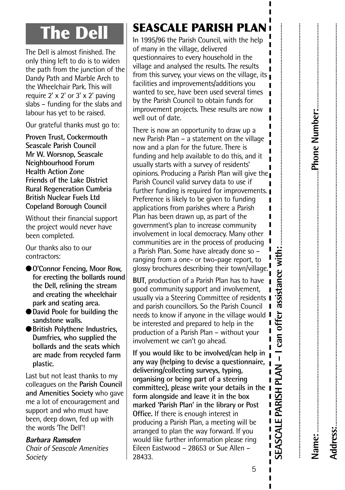## **The Dell**

The Dell is almost finished. The only thing left to do is to widen the path from the junction of the Dandy Path and Marble Arch to the Wheelchair Park. This will require 2' x 2' or 3' x 2' paving slabs – funding for the slabs and labour has yet to be raised.

Our grateful thanks must go to:

**Proven Trust, Cockermouth Seascale Parish Council Mr W. Worsnop, Seascale Neighbourhood Forum Health Action Zone Friends of the Lake District Rural Regeneration Cumbria British Nuclear Fuels Ltd Copeland Borough Council**

Without their financial support the project would never have been completed.

Our thanks also to our contractors:

- ●**O'Connor Fencing, Moor Row, for erecting the bollards round the Dell, relining the stream and creating the wheelchair park and seating area.**
- ●**David Poole for building the sandstone walls.**
- ●**British Polythene Industries, Dumfries, who supplied the bollards and the seats which are made from recycled farm plastic.**

Last but not least thanks to my colleagues on the **Parish Council and Amenities Society** who gave me a lot of encouragement and support and who must have been, deep down, fed up with the words 'The Dell'!

#### **Barbara Ramsden**

*Chair of Seascale Amenities Society*

### **SEASCALE PARISH PLAN**

In 1995/96 the Parish Council, with the help of many in the village, delivered questionnaires to every household in the village and analysed the results. The results from this survey, your views on the village, its facilities and improvements/additions you wanted to see, have been used several times by the Parish Council to obtain funds for improvement projects. These results are now well out of date

There is now an opportunity to draw up a new Parish Plan – a statement on the village now and a plan for the future. There is funding and help available to do this, and it usually starts with a survey of residents' opinions. Producing a Parish Plan will give the Parish Council valid survey data to use if further funding is required for improvements. Preference is likely to be given to funding applications from parishes where a Parish Ī Plan has been drawn up, as part of the government's plan to increase community involvement in local democracy. Many other communities are in the process of producing a Parish Plan. Some have already done so – ranging from a one- or two-page report, to dossy brochures describing their town/village.

**BUT**, production of a Parish Plan has to have good community support and involvement, usually via a Steering Committee of residents | and parish councillors. So the Parish Council needs to know if anyone in the village would  $\blacksquare$ be interested and prepared to help in the production of a Parish Plan – without your involvement we can't go ahead.

**If you would like to be involved/can help in any way (helping to devise a questionnaire, delivering/collecting surveys, typing, organising or being part of a steering committee), please write your details in the form alongside and leave it in the box marked 'Parish Plan' in the library or Post Office.** If there is enough interest in producing a Parish Plan, a meeting will be arranged to plan the way forward. If you would like further information please ring Eileen Eastwood – 28653 or Sue Allen – 28433. **<sup>S</sup>**

**with:**............................................................................................................................................ **n c e ffer assista** ī **o – I c a n P LA N RIS H** п **PA** Ï  $\blacksquare$ **E A S CA L E** Ī Ï

..................................................................................................................................................................................................................................................................................

**e:**.....................................................................................................................................................................**P**

**dress:**..............................................................................................................................................................................................................................................................

**h o n e N u m** <u>ه</u>

**er:**......................................................

.<br>.<br>.<br>.<br>.

**Na m**

**A d**

5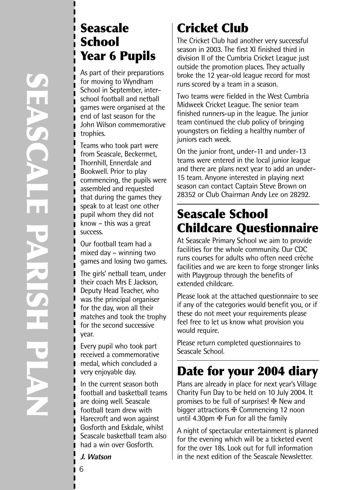### **Seascale School Year 6 Pupils**

As part of their preparations for moving to Wyndham School in September, interschool football and netball games were organised at the end of last season for the John Wilson commemorative trophies.

Teams who took part were from Seascale, Beckermet, Thornhill, Ennerdale and Bookwell. Prior to play commencing, the pupils were assembled and requested that during the games they speak to at least one other pupil whom they did not know – this was a great success.

Our football team had a mixed day – winning two games and losing two games.

The girls' netball team, under their coach Mrs E Jackson, Deputy Head Teacher, who was the principal organiser for the day, won all their matches and took the trophy for the second successive year.

Every pupil who took part received a commemorative medal, which concluded a very enjoyable day.

In the current season both football and basketball teams are doing well. Seascale football team drew with Harecroft and won against Gosforth and Eskdale, whilst Seascale basketball team also had a win over Gosforth.

#### **J. Watson**

### **Cricket Club**

The Cricket Club had another very successful season in 2003. The first XI finished third in division II of the Cumbria Cricket League just outside the promotion places. They actually broke the 12 year-old league record for most runs scored by a team in a season.

Two teams were fielded in the West Cumbria Midweek Cricket League. The senior team finished runners-up in the league. The junior team continued the club policy of bringing youngsters on fielding a healthy number of juniors each week.

On the junior front, under-11 and under-13 teams were entered in the local junior league and there are plans next year to add an under-15 team. Anyone interested in playing next season can contact Captain Steve Brown on 28352 or Club Chairman Andy Lee on 28292.

### **Seascale School Childcare Questionnaire**

At Seascale Primary School we aim to provide facilities for the whole community. Our CDC runs courses for adults who often need crèche facilities and we are keen to forge stronger links with Playgroup through the benefits of extended childcare.

Please look at the attached questionnaire to see if any of the categories would benefit you, or if these do not meet your requirements please feel free to let us know what provision you would require.

Please return completed questionnaires to Seascale School.

### **Date for your 2004 diary**

Plans are already in place for next year's Village Charity Fun Day to be held on 10 July 2004. It promises to be full of surprises! ❈ New and bigger attractions ❈ Commencing 12 noon until 4.30pm ❈ Fun for all the family

A night of spectacular entertainment is planned for the evening which will be a ticketed event for the over 18s. Look out for full information in the next edition of the Seascale Newsletter.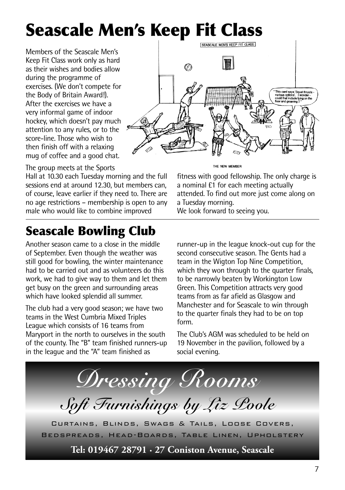# **Seascale Men's Keep Fit Class**

Members of the Seascale Men's Keep Fit Class work only as hard as their wishes and bodies allow during the programme of exercises. (We don't compete for the Body of Britain Award!). After the exercises we have a very informal game of indoor hockey, which doesn't pay much attention to any rules, or to the score-line. Those who wish to then finish off with a relaxing mug of coffee and a good chat.

The group meets at the Sports

Hall at 10.30 each Tuesday morning and the full sessions end at around 12.30, but members can, of course, leave earlier if they need to. There are no age restrictions – membership is open to any male who would like to combine improved

### **Seascale Bowling Club**

Another season came to a close in the middle of September. Even though the weather was still good for bowling, the winter maintenance had to be carried out and as volunteers do this work, we had to give way to them and let them get busy on the green and surrounding areas which have looked splendid all summer.

The club had a very good season; we have two teams in the West Cumbria Mixed Triples League which consists of 16 teams from Maryport in the north to ourselves in the south of the county. The "B" team finished runners-up in the league and the "A" team finished as



THE NEW MEMBER

fitness with good fellowship. The only charge is a nominal £1 for each meeting actually attended. To find out more just come along on a Tuesday morning.

We look forward to seeing you.

runner-up in the league knock-out cup for the second consecutive season. The Gents had a team in the Wigton Top Nine Competition, which they won through to the quarter finals, to be narrowly beaten by Workington Low Green. This Competition attracts very good teams from as far afield as Glasgow and Manchester and for Seascale to win through to the quarter finals they had to be on top form.

The Club's AGM was scheduled to be held on 19 November in the pavilion, followed by a social evening.

*Dressing Rooms Soft Furnishings by Liz Poole* Curtains, Blinds, Swags & Tails, Loose Covers, Bedspreads, Head-Boards, Table Linen, Upholstery **Tel: 019467 28791 · 27 Coniston Avenue, Seascale**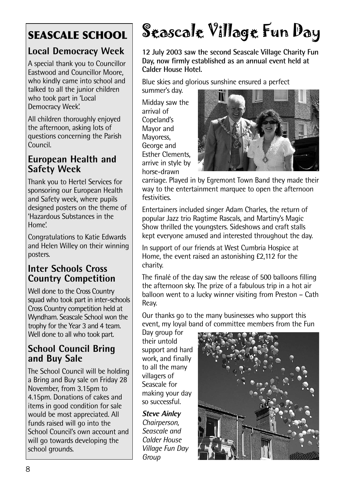### **Local Democracy Week**

A special thank you to Councillor Eastwood and Councillor Moore, who kindly came into school and talked to all the junior children who took part in 'Local Democracy Week'.

All children thoroughly enjoyed the afternoon, asking lots of questions concerning the Parish Council.

#### **European Health and Safety Week**

Thank you to Hertel Services for sponsoring our European Health and Safety week, where pupils designed posters on the theme of 'Hazardous Substances in the Home'.

Congratulations to Katie Edwards and Helen Willey on their winning posters.

#### **Inter Schools Cross Country Competition**

Well done to the Cross Country squad who took part in inter-schools Cross Country competition held at Wyndham. Seascale School won the trophy for the Year 3 and 4 team. Well done to all who took part.

#### **School Council Bring and Buy Sale**

The School Council will be holding a Bring and Buy sale on Friday 28 November, from 3.15pm to 4.15pm. Donations of cakes and items in good condition for sale would be most appreciated. All funds raised will go into the School Council's own account and will go towards developing the school grounds.

# **SEASCALE SCHOOL** Seascale Village Fun Day

**12 July 2003 saw the second Seascale Village Charity Fun Day, now firmly established as an annual event held at Calder House Hotel.**

Blue skies and glorious sunshine ensured a perfect

summer's day.

Midday saw the arrival of Copeland's Mayor and Mayoress, George and Esther Clements, arrive in style by horse-drawn



carriage. Played in by Egremont Town Band they made their way to the entertainment marquee to open the afternoon festivities.

Entertainers included singer Adam Charles, the return of popular Jazz trio Ragtime Rascals, and Martiny's Magic Show thrilled the youngsters. Sideshows and craft stalls kept everyone amused and interested throughout the day.

In support of our friends at West Cumbria Hospice at Home, the event raised an astonishing £2,112 for the charity.

The finalé of the day saw the release of 500 balloons filling the afternoon sky. The prize of a fabulous trip in a hot air balloon went to a lucky winner visiting from Preston – Cath Reay.

Our thanks go to the many businesses who support this event, my loyal band of committee members from the Fun

Day group for their untold support and hard work, and finally to all the many villagers of Seascale for making your day so successful.

**Steve Ainley** *Chairperson, Seascale and Calder House Village Fun Day Group*

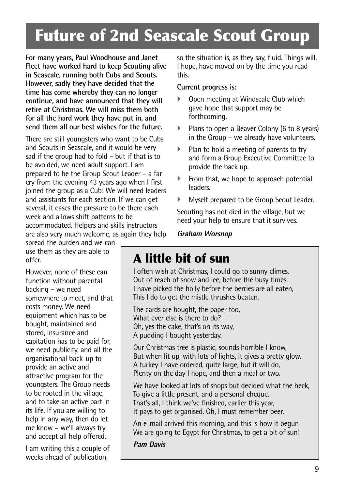## **Future of 2nd Seascale Scout Group**

**For many years, Paul Woodhouse and Janet Fleet have worked hard to keep Scouting alive in Seascale, running both Cubs and Scouts. However, sadly they have decided that the time has come whereby they can no longer continue, and have announced that they will retire at Christmas. We will miss them both for all the hard work they have put in, and send them all our best wishes for the future.**

There are still youngsters who want to be Cubs and Scouts in Seascale, and it would be very sad if the group had to fold – but if that is to be avoided, we need adult support. I am prepared to be the Group Scout Leader – a far cry from the evening 43 years ago when I first joined the group as a Cub! We will need leaders and assistants for each section. If we can get several, it eases the pressure to be there each week and allows shift patterns to be accommodated. Helpers and skills instructors are also very much welcome, as again they help

spread the burden and we can use them as they are able to offer.

However, none of these can function without parental backing – we need somewhere to meet, and that costs money. We need equipment which has to be bought, maintained and stored, insurance and capitation has to be paid for, we need publicity, and all the organisational back-up to provide an active and attractive program for the youngsters. The Group needs to be rooted in the village, and to take an active part in its life. If you are willing to help in any way, then do let me know – we'll always try and accept all help offered.

I am writing this a couple of weeks ahead of publication,

so the situation is, as they say, fluid. Things will, I hope, have moved on by the time you read this.

#### **Current progress is:**

- Open meeting at Windscale Club which gave hope that support may be forthcoming.
- Plans to open a Beaver Colony (6 to 8 years) in the Group – we already have volunteers.
- } Plan to hold a meeting of parents to try and form a Group Executive Committee to provide the back up.
- $\blacktriangleright$  From that, we hope to approach potential leaders.
- Myself prepared to be Group Scout Leader.

Scouting has not died in the village, but we need your help to ensure that it survives.

**Graham Worsnop**

### **A little bit of sun**

I often wish at Christmas, I could go to sunny climes. Out of reach of snow and ice, before the busy times. I have picked the holly before the berries are all eaten, This I do to get the mistle thrushes beaten.

The cards are bought, the paper too, What ever else is there to do? Oh, yes the cake, that's on its way, A pudding I bought yesterday.

Our Christmas tree is plastic, sounds horrible I know, But when lit up, with lots of lights, it gives a pretty glow. A turkey I have ordered, quite large, but it will do, Plenty on the day I hope, and then a meal or two.

We have looked at lots of shops but decided what the heck, To give a little present, and a personal cheque. That's all, I think we've finished, earlier this year, It pays to get organised. Oh, I must remember beer.

An e-mail arrived this morning, and this is how it begun We are going to Egypt for Christmas, to get a bit of sun!

**Pam Davis**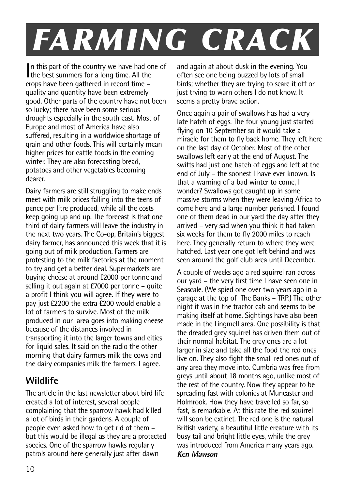# *FARMING CRACK*

In this part of the country we have had only the best summers for a long time. All the n this part of the country we have had one of crops have been gathered in record time – quality and quantity have been extremely good. Other parts of the country have not been so lucky; there have been some serious droughts especially in the south east. Most of Europe and most of America have also suffered, resulting in a worldwide shortage of grain and other foods. This will certainly mean higher prices for cattle foods in the coming winter. They are also forecasting bread, potatoes and other vegetables becoming dearer.

Dairy farmers are still struggling to make ends meet with milk prices falling into the teens of pence per litre produced, while all the costs keep going up and up. The forecast is that one third of dairy farmers will leave the industry in the next two years. The Co-op, Britain's biggest dairy farmer, has announced this week that it is going out of milk production. Farmers are protesting to the milk factories at the moment to try and get a better deal. Supermarkets are buying cheese at around £2000 per tonne and selling it out again at £7000 per tonne – quite a profit I think you will agree. If they were to pay just £2200 the extra £200 would enable a lot of farmers to survive. Most of the milk produced in our area goes into making cheese because of the distances involved in transporting it into the larger towns and cities for liquid sales. It said on the radio the other morning that dairy farmers milk the cows and the dairy companies milk the farmers. I agree.

#### **Wildlife**

The article in the last newsletter about bird life created a lot of interest, several people complaining that the sparrow hawk had killed a lot of birds in their gardens. A couple of people even asked how to get rid of them – but this would be illegal as they are a protected species. One of the sparrow hawks regularly patrols around here generally just after dawn

and again at about dusk in the evening. You often see one being buzzed by lots of small birds; whether they are trying to scare it off or just trying to warn others I do not know. It seems a pretty brave action.

Once again a pair of swallows has had a very late hatch of eggs. The four young just started flying on 10 September so it would take a miracle for them to fly back home. They left here on the last day of October. Most of the other swallows left early at the end of August. The swifts had just one hatch of eggs and left at the end of July – the soonest I have ever known. Is that a warning of a bad winter to come, I wonder? Swallows got caught up in some massive storms when they were leaving Africa to come here and a large number perished. I found one of them dead in our yard the day after they arrived – very sad when you think it had taken six weeks for them to fly 2000 miles to reach here. They generally return to where they were hatched. Last year one got left behind and was seen around the golf club area until December.

A couple of weeks ago a red squirrel ran across our yard – the very first time I have seen one in Seascale. (We spied one over two years ago in a garage at the top of The Banks – TRP.) The other night it was in the tractor cab and seems to be making itself at home. Sightings have also been made in the Lingmell area. One possibility is that the dreaded grey squirrel has driven them out of their normal habitat. The grey ones are a lot larger in size and take all the food the red ones live on. They also fight the small red ones out of any area they move into. Cumbria was free from greys until about 18 months ago, unlike most of the rest of the country. Now they appear to be spreading fast with colonies at Muncaster and Holmrook. How they have travelled so far, so fast, is remarkable. At this rate the red squirrel will soon be extinct. The red one is the natural British variety, a beautiful little creature with its busy tail and bright little eyes, while the grey was introduced from America many years ago. **Ken Mawson**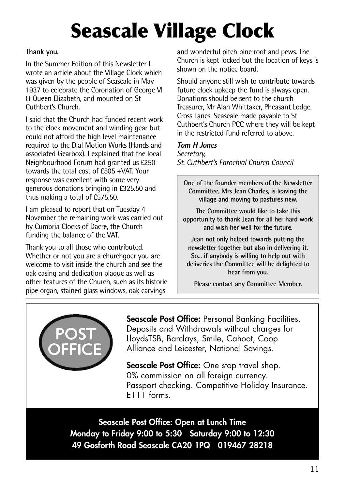# **Seascale Village Clock**

#### **Thank you.**

In the Summer Edition of this Newsletter I wrote an article about the Village Clock which was given by the people of Seascale in May 1937 to celebrate the Coronation of George VI & Queen Elizabeth, and mounted on St Cuthbert's Church.

I said that the Church had funded recent work to the clock movement and winding gear but could not afford the high level maintenance required to the Dial Motion Works (Hands and associated Gearbox). I explained that the local Neighbourhood Forum had granted us £250 towards the total cost of £505 +VAT. Your response was excellent with some very generous donations bringing in £325.50 and thus making a total of £575.50.

I am pleased to report that on Tuesday 4 November the remaining work was carried out by Cumbria Clocks of Dacre, the Church funding the balance of the VAT.

Thank you to all those who contributed. Whether or not you are a churchgoer you are welcome to visit inside the church and see the oak casing and dedication plaque as well as other features of the Church, such as its historic pipe organ, stained glass windows, oak carvings

and wonderful pitch pine roof and pews. The Church is kept locked but the location of keys is shown on the notice board.

Should anyone still wish to contribute towards future clock upkeep the fund is always open. Donations should be sent to the church Treasurer, Mr Alan Whittaker, Pheasant Lodge, Cross Lanes, Seascale made payable to St Cuthbert's Church PCC where they will be kept in the restricted fund referred to above.

#### **Tom H Jones**

*Secretary, St. Cuthbert's Parochial Church Council*

**One of the founder members of the Newsletter Committee, Mrs Jean Charles, is leaving the village and moving to pastures new.**

**The Committee would like to take this opportunity to thank Jean for all her hard work and wish her well for the future.**

**Jean not only helped towards putting the newsletter together but also in delivering it. So... if anybody is willing to help out with deliveries the Committee will be delighted to hear from you.**

**Please contact any Committee Member.**



**Seascale Post Office:** Personal Banking Facilities. Deposits and Withdrawals without charges for LloydsTSB, Barclays, Smile, Cahoot, Coop Alliance and Leicester, National Savings.

**Seascale Post Office:** One stop travel shop. 0% commission on all foreign currency. Passport checking. Competitive Holiday Insurance. E111 forms.

**Seascale Post Office: Open at Lunch Time Monday to Friday 9:00 to 5:30 Saturday 9:00 to 12:30 49 Gosforth Road Seascale CA20 1PQ 019467 28218**